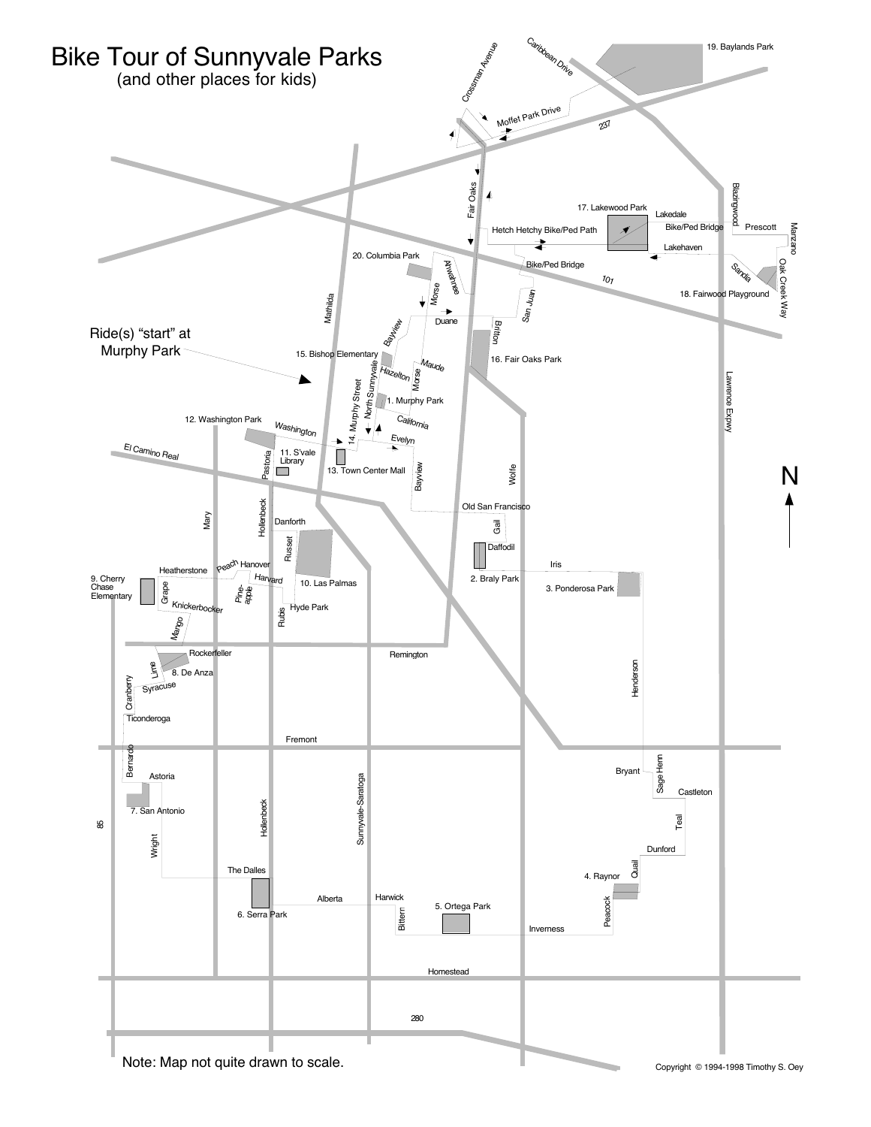